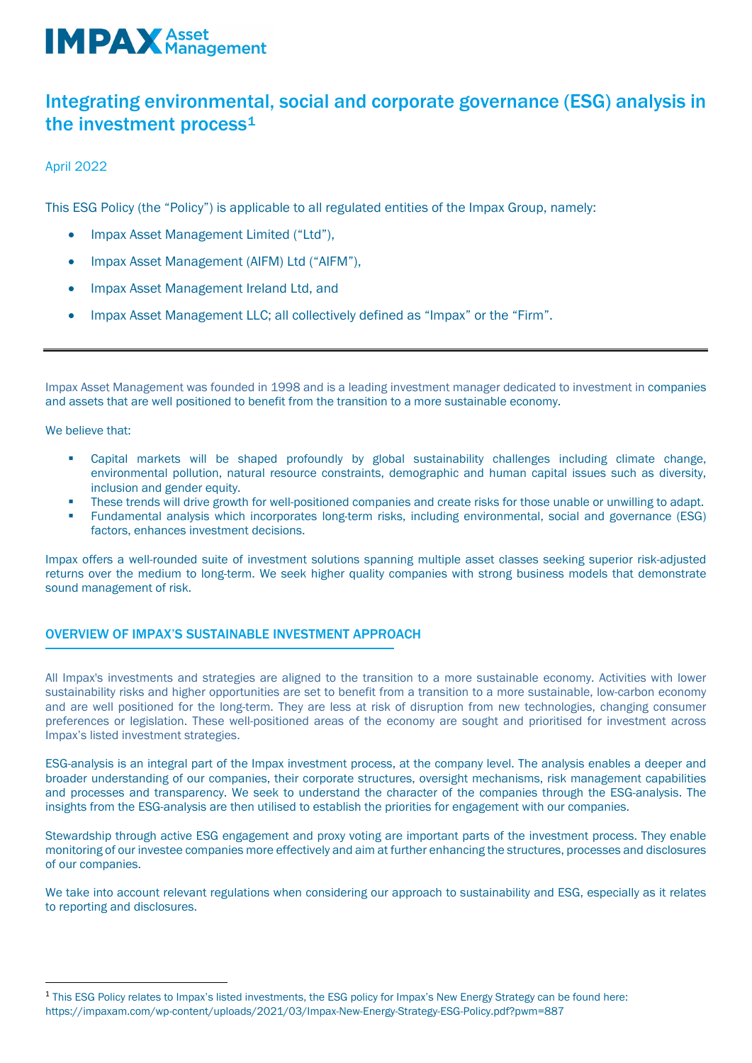### Integrating environmental, social and corporate governance (ESG) analysis in the investment process<sup>[1](#page-0-0)</sup>

April 2022

This ESG Policy (the "Policy") is applicable to all regulated entities of the Impax Group, namely:

- Impax Asset Management Limited ("Ltd"),
- Impax Asset Management (AIFM) Ltd ("AIFM"),
- Impax Asset Management Ireland Ltd, and
- Impax Asset Management LLC; all collectively defined as "Impax" or the "Firm".

Impax Asset Management was founded in 1998 and is a leading investment manager dedicated to investment in companies and assets that are well positioned to benefit from the transition to a more sustainable economy.

We believe that:

- Capital markets will be shaped profoundly by global sustainability challenges including climate change, environmental pollution, natural resource constraints, demographic and human capital issues such as diversity, inclusion and gender equity.
- These trends will drive growth for well-positioned companies and create risks for those unable or unwilling to adapt.
- Fundamental analysis which incorporates long-term risks, including environmental, social and governance (ESG) factors, enhances investment decisions.

Impax offers a well-rounded suite of investment solutions spanning multiple asset classes seeking superior risk-adjusted returns over the medium to long-term. We seek higher quality companies with strong business models that demonstrate sound management of risk.

#### OVERVIEW OF IMPAX'S SUSTAINABLE INVESTMENT APPROACH

All Impax's investments and strategies are aligned to the transition to a more sustainable economy. Activities with lower sustainability risks and higher opportunities are set to benefit from a transition to a more sustainable, low-carbon economy and are well positioned for the long-term. They are less at risk of disruption from new technologies, changing consumer preferences or legislation. These well-positioned areas of the economy are sought and prioritised for investment across Impax's listed investment strategies.

ESG-analysis is an integral part of the Impax investment process, at the company level. The analysis enables a deeper and broader understanding of our companies, their corporate structures, oversight mechanisms, risk management capabilities and processes and transparency. We seek to understand the character of the companies through the ESG-analysis. The insights from the ESG-analysis are then utilised to establish the priorities for engagement with our companies.

Stewardship through active ESG engagement and proxy voting are important parts of the investment process. They enable monitoring of our investee companies more effectively and aim at further enhancing the structures, processes and disclosures of our companies.

We take into account relevant regulations when considering our approach to sustainability and ESG, especially as it relates to reporting and disclosures.

<span id="page-0-0"></span><sup>&</sup>lt;sup>1</sup> This ESG Policy relates to Impax's listed investments, the ESG policy for Impax's New Energy Strategy can be found here: https://impaxam.com/wp-content/uploads/2021/03/Impax-New-Energy-Strategy-ESG-Policy.pdf?pwm=887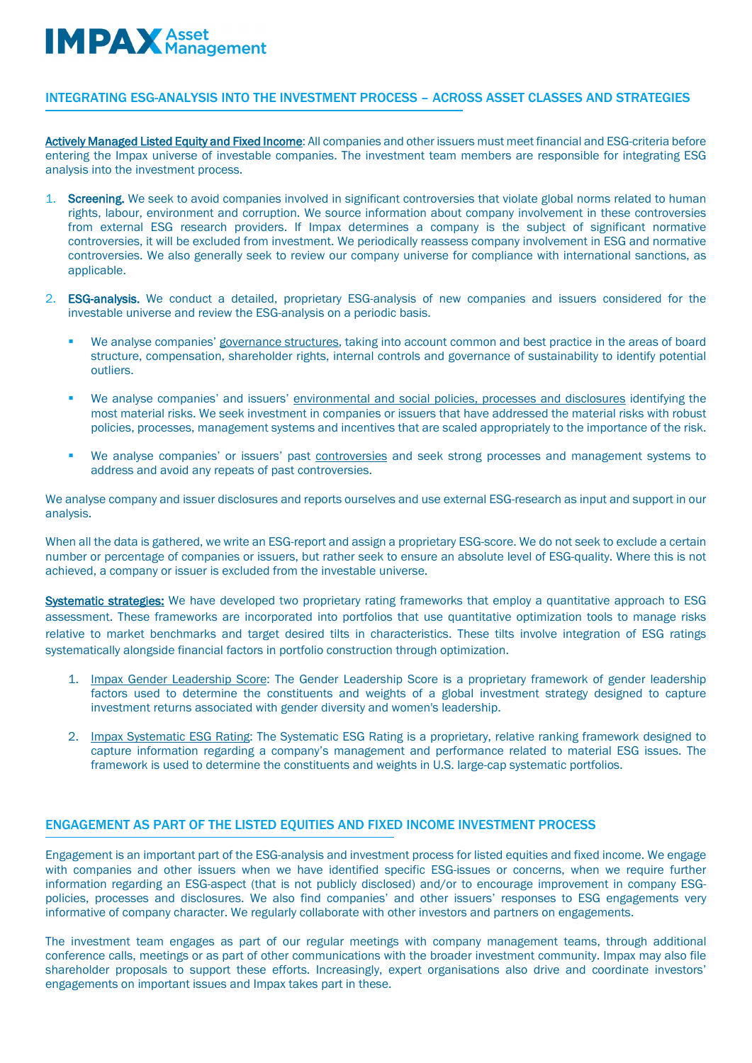#### INTEGRATING ESG-ANALYSIS INTO THE INVESTMENT PROCESS – ACROSS ASSET CLASSES AND STRATEGIES

Actively Managed Listed Equity and Fixed Income: All companies and other issuers must meet financial and ESG-criteria before entering the Impax universe of investable companies. The investment team members are responsible for integrating ESG analysis into the investment process.

- 1. Screening. We seek to avoid companies involved in significant controversies that violate global norms related to human rights, labour, environment and corruption. We source information about company involvement in these controversies from external ESG research providers. If Impax determines a company is the subject of significant normative controversies, it will be excluded from investment. We periodically reassess company involvement in ESG and normative controversies. We also generally seek to review our company universe for compliance with international sanctions, as applicable.
- 2. ESG-analysis. We conduct a detailed, proprietary ESG-analysis of new companies and issuers considered for the investable universe and review the ESG-analysis on a periodic basis.
	- We analyse companies' governance structures, taking into account common and best practice in the areas of board structure, compensation, shareholder rights, internal controls and governance of sustainability to identify potential outliers.
	- We analyse companies' and issuers' environmental and social policies, processes and disclosures identifying the most material risks. We seek investment in companies or issuers that have addressed the material risks with robust policies, processes, management systems and incentives that are scaled appropriately to the importance of the risk.
	- We analyse companies' or issuers' past controversies and seek strong processes and management systems to address and avoid any repeats of past controversies.

We analyse company and issuer disclosures and reports ourselves and use external ESG-research as input and support in our analysis.

When all the data is gathered, we write an ESG-report and assign a proprietary ESG-score. We do not seek to exclude a certain number or percentage of companies or issuers, but rather seek to ensure an absolute level of ESG-quality. Where this is not achieved, a company or issuer is excluded from the investable universe.

Systematic strategies: We have developed two proprietary rating frameworks that employ a quantitative approach to ESG assessment. These frameworks are incorporated into portfolios that use quantitative optimization tools to manage risks relative to market benchmarks and target desired tilts in characteristics. These tilts involve integration of ESG ratings systematically alongside financial factors in portfolio construction through optimization.

- 1. Impax Gender Leadership Score: The Gender Leadership Score is a proprietary framework of gender leadership factors used to determine the constituents and weights of a global investment strategy designed to capture investment returns associated with gender diversity and women's leadership.
- 2. Impax Systematic ESG Rating: The Systematic ESG Rating is a proprietary, relative ranking framework designed to capture information regarding a company's management and performance related to material ESG issues. The framework is used to determine the constituents and weights in U.S. large-cap systematic portfolios.

#### ENGAGEMENT AS PART OF THE LISTED EQUITIES AND FIXED INCOME INVESTMENT PROCESS

Engagement is an important part of the ESG-analysis and investment process for listed equities and fixed income. We engage with companies and other issuers when we have identified specific ESG-issues or concerns, when we require further information regarding an ESG-aspect (that is not publicly disclosed) and/or to encourage improvement in company ESGpolicies, processes and disclosures. We also find companies' and other issuers' responses to ESG engagements very informative of company character. We regularly collaborate with other investors and partners on engagements.

The investment team engages as part of our regular meetings with company management teams, through additional conference calls, meetings or as part of other communications with the broader investment community. Impax may also file shareholder proposals to support these efforts. Increasingly, expert organisations also drive and coordinate investors' engagements on important issues and Impax takes part in these.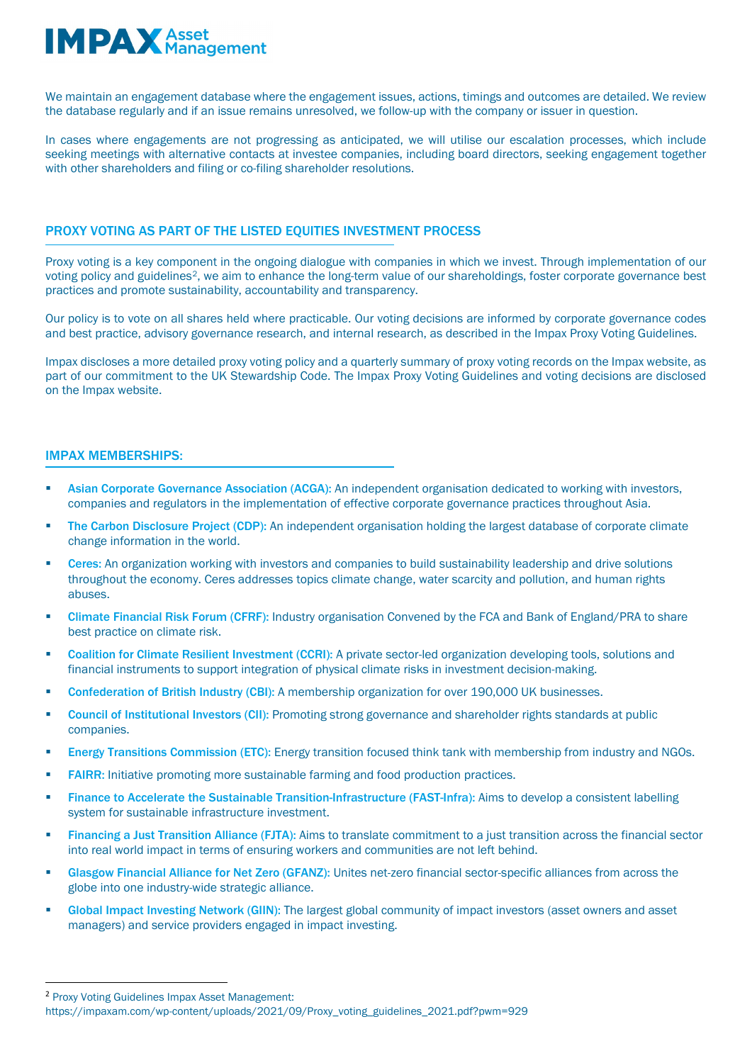We maintain an engagement database where the engagement issues, actions, timings and outcomes are detailed. We review the database regularly and if an issue remains unresolved, we follow-up with the company or issuer in question.

In cases where engagements are not progressing as anticipated, we will utilise our escalation processes, which include seeking meetings with alternative contacts at investee companies, including board directors, seeking engagement together with other shareholders and filing or co-filing shareholder resolutions.

#### PROXY VOTING AS PART OF THE LISTED EQUITIES INVESTMENT PROCESS

Proxy voting is a key component in the ongoing dialogue with companies in which we invest. Through implementation of our voting policy and guidelines[2](#page-2-0), we aim to enhance the long-term value of our shareholdings, foster corporate governance best practices and promote sustainability, accountability and transparency.

Our policy is to vote on all shares held where practicable. Our voting decisions are informed by corporate governance codes and best practice, advisory governance research, and internal research, as described in the Impax Proxy Voting Guidelines.

Impax discloses a more detailed proxy voting policy and a quarterly summary of proxy voting records on the Impax website, as part of our commitment to the UK Stewardship Code. The Impax Proxy Voting Guidelines and voting decisions are disclosed on the Impax website.

#### IMPAX MEMBERSHIPS:

- Asian Corporate Governance Association (ACGA): An independent organisation dedicated to working with investors, companies and regulators in the implementation of effective corporate governance practices throughout Asia.
- The Carbon Disclosure Project (CDP): An independent organisation holding the largest database of corporate climate change information in the world.
- Ceres: An organization working with investors and companies to build sustainability leadership and drive solutions throughout the economy. Ceres addresses topics climate change, water scarcity and pollution, and human rights abuses.
- Climate Financial Risk Forum (CFRF): Industry organisation Convened by the FCA and Bank of England/PRA to share best practice on climate risk.
- Coalition for Climate Resilient Investment (CCRI): A private sector-led organization developing tools, solutions and financial instruments to support integration of physical climate risks in investment decision-making.
- Confederation of British Industry (CBI): A membership organization for over 190,000 UK businesses.
- Council of Institutional Investors (CII): Promoting strong governance and shareholder rights standards at public companies.
- Energy Transitions Commission (ETC): Energy transition focused think tank with membership from industry and NGOs.
- FAIRR: Initiative promoting more sustainable farming and food production practices.
- Finance to Accelerate the Sustainable Transition-Infrastructure (FAST-Infra): Aims to develop a consistent labelling system for sustainable infrastructure investment.
- Financing a Just Transition Alliance (FJTA): Aims to translate commitment to a just transition across the financial sector into real world impact in terms of ensuring workers and communities are not left behind.
- Glasgow Financial Alliance for Net Zero (GFANZ): Unites net-zero financial sector-specific alliances from across the globe into one industry-wide strategic alliance.
- Global Impact Investing Network (GIIN): The largest global community of impact investors (asset owners and asset managers) and service providers engaged in impact investing.

<span id="page-2-0"></span><sup>2</sup> Proxy Voting Guidelines Impax Asset Management:

https://impaxam.com/wp-content/uploads/2021/09/Proxy\_voting\_guidelines\_2021.pdf?pwm=929